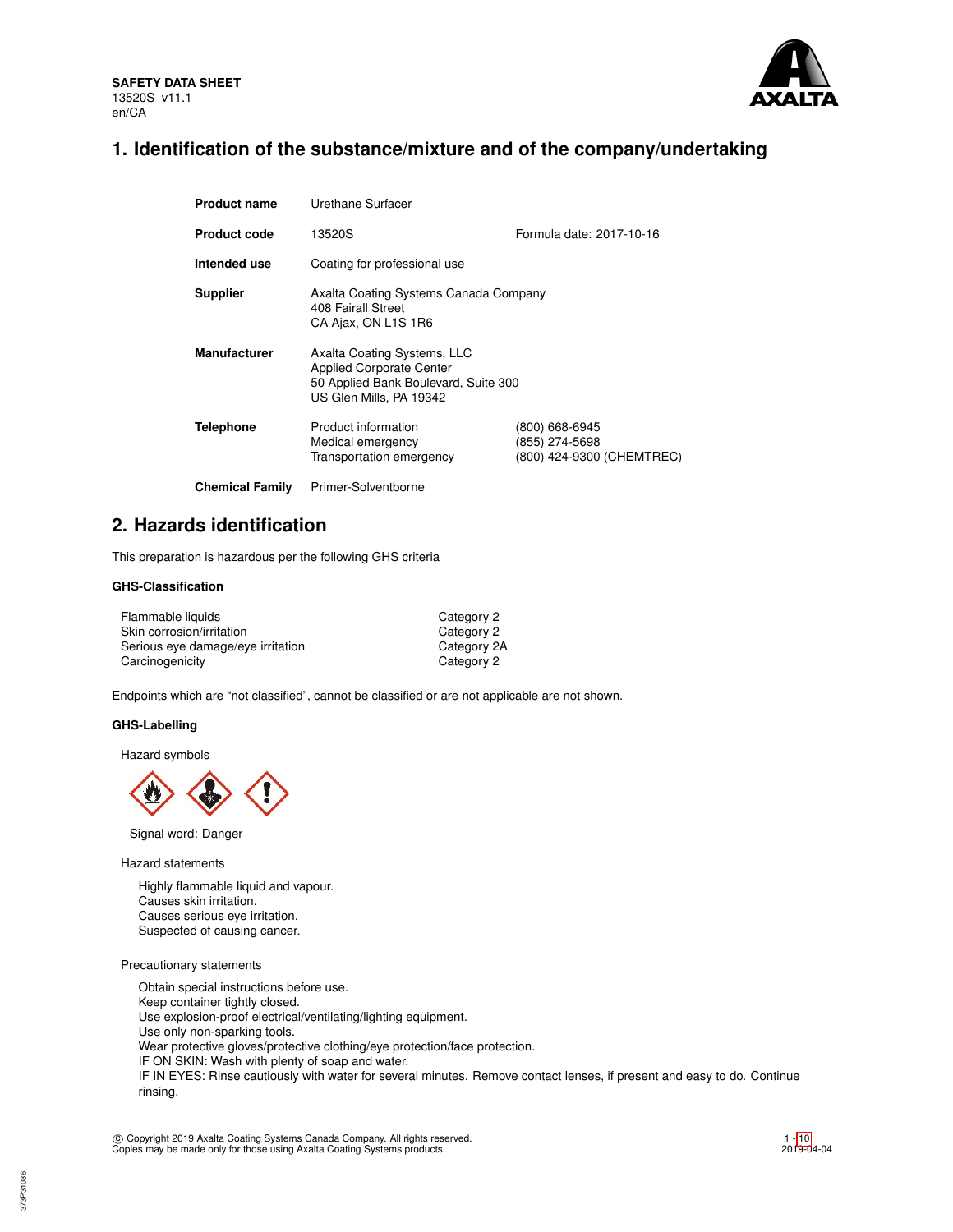

## **1. Identification of the substance/mixture and of the company/undertaking**

| <b>Product name</b>    | Urethane Surfacer                                                                                                                 |                                                               |  |  |  |
|------------------------|-----------------------------------------------------------------------------------------------------------------------------------|---------------------------------------------------------------|--|--|--|
| <b>Product code</b>    | 13520S<br>Formula date: 2017-10-16                                                                                                |                                                               |  |  |  |
| Intended use           | Coating for professional use                                                                                                      |                                                               |  |  |  |
| <b>Supplier</b>        | Axalta Coating Systems Canada Company<br>408 Fairall Street<br>CA Ajax, ON L1S 1R6                                                |                                                               |  |  |  |
| <b>Manufacturer</b>    | Axalta Coating Systems, LLC<br><b>Applied Corporate Center</b><br>50 Applied Bank Boulevard, Suite 300<br>US Glen Mills, PA 19342 |                                                               |  |  |  |
| <b>Telephone</b>       | Product information<br>Medical emergency<br>Transportation emergency                                                              | (800) 668-6945<br>(855) 274-5698<br>(800) 424-9300 (CHEMTREC) |  |  |  |
| <b>Chemical Family</b> | Primer-Solventborne                                                                                                               |                                                               |  |  |  |

## **2. Hazards identification**

This preparation is hazardous per the following GHS criteria

## **GHS-Classification**

| Flammable liquids                 | Category 2  |
|-----------------------------------|-------------|
| Skin corrosion/irritation         | Category 2  |
| Serious eye damage/eye irritation | Category 2A |
| Carcinogenicity                   | Category 2  |

Endpoints which are "not classified", cannot be classified or are not applicable are not shown.

### **GHS-Labelling**

Hazard symbols



Signal word: Danger

Hazard statements

Highly flammable liquid and vapour. Causes skin irritation. Causes serious eye irritation. Suspected of causing cancer.

Precautionary statements

Obtain special instructions before use. Keep container tightly closed. Use explosion-proof electrical/ventilating/lighting equipment. Use only non-sparking tools. Wear protective gloves/protective clothing/eye protection/face protection. IF ON SKIN: Wash with plenty of soap and water. IF IN EYES: Rinse cautiously with water for several minutes. Remove contact lenses, if present and easy to do. Continue rinsing.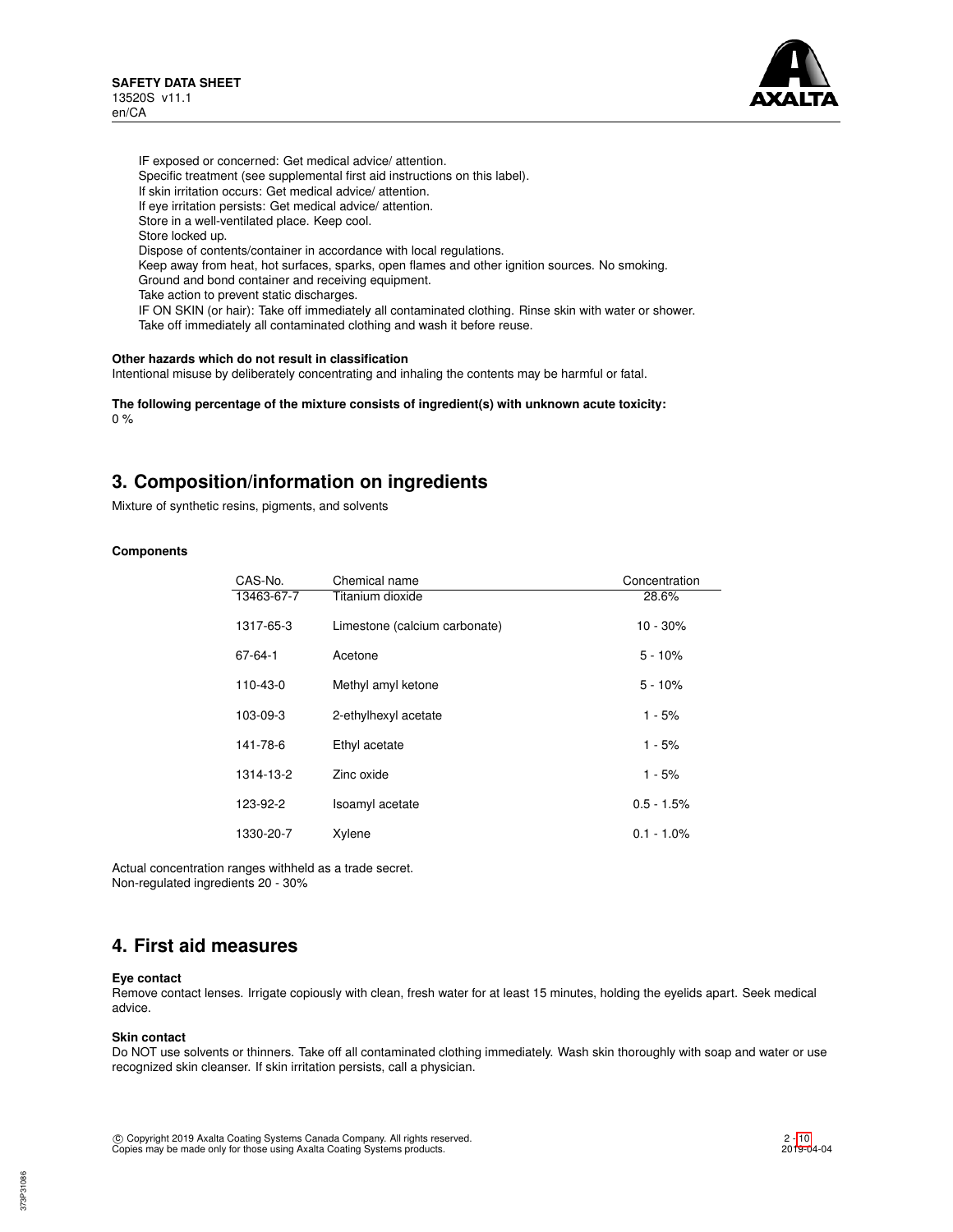

IF exposed or concerned: Get medical advice/ attention. Specific treatment (see supplemental first aid instructions on this label). If skin irritation occurs: Get medical advice/ attention. If eye irritation persists: Get medical advice/ attention. Store in a well-ventilated place. Keep cool. Store locked up. Dispose of contents/container in accordance with local regulations. Keep away from heat, hot surfaces, sparks, open flames and other ignition sources. No smoking. Ground and bond container and receiving equipment. Take action to prevent static discharges. IF ON SKIN (or hair): Take off immediately all contaminated clothing. Rinse skin with water or shower. Take off immediately all contaminated clothing and wash it before reuse.

#### **Other hazards which do not result in classification**

Intentional misuse by deliberately concentrating and inhaling the contents may be harmful or fatal.

**The following percentage of the mixture consists of ingredient(s) with unknown acute toxicity:** 0 %

## **3. Composition/information on ingredients**

Mixture of synthetic resins, pigments, and solvents

## **Components**

| CAS-No.    | Chemical name                 | Concentration |
|------------|-------------------------------|---------------|
| 13463-67-7 | Titanium dioxide              | 28.6%         |
| 1317-65-3  | Limestone (calcium carbonate) | $10 - 30\%$   |
| 67-64-1    | Acetone                       | $5 - 10%$     |
| 110-43-0   | Methyl amyl ketone            | $5 - 10%$     |
| 103-09-3   | 2-ethylhexyl acetate          | 1 - 5%        |
| 141-78-6   | Ethyl acetate                 | $1 - 5%$      |
| 1314-13-2  | Zinc oxide                    | 1 - 5%        |
| 123-92-2   | Isoamyl acetate               | $0.5 - 1.5%$  |
| 1330-20-7  | Xylene                        | $0.1 - 1.0\%$ |

Actual concentration ranges withheld as a trade secret. Non-regulated ingredients 20 - 30%

## **4. First aid measures**

#### **Eye contact**

Remove contact lenses. Irrigate copiously with clean, fresh water for at least 15 minutes, holding the eyelids apart. Seek medical advice.

#### **Skin contact**

Do NOT use solvents or thinners. Take off all contaminated clothing immediately. Wash skin thoroughly with soap and water or use recognized skin cleanser. If skin irritation persists, call a physician.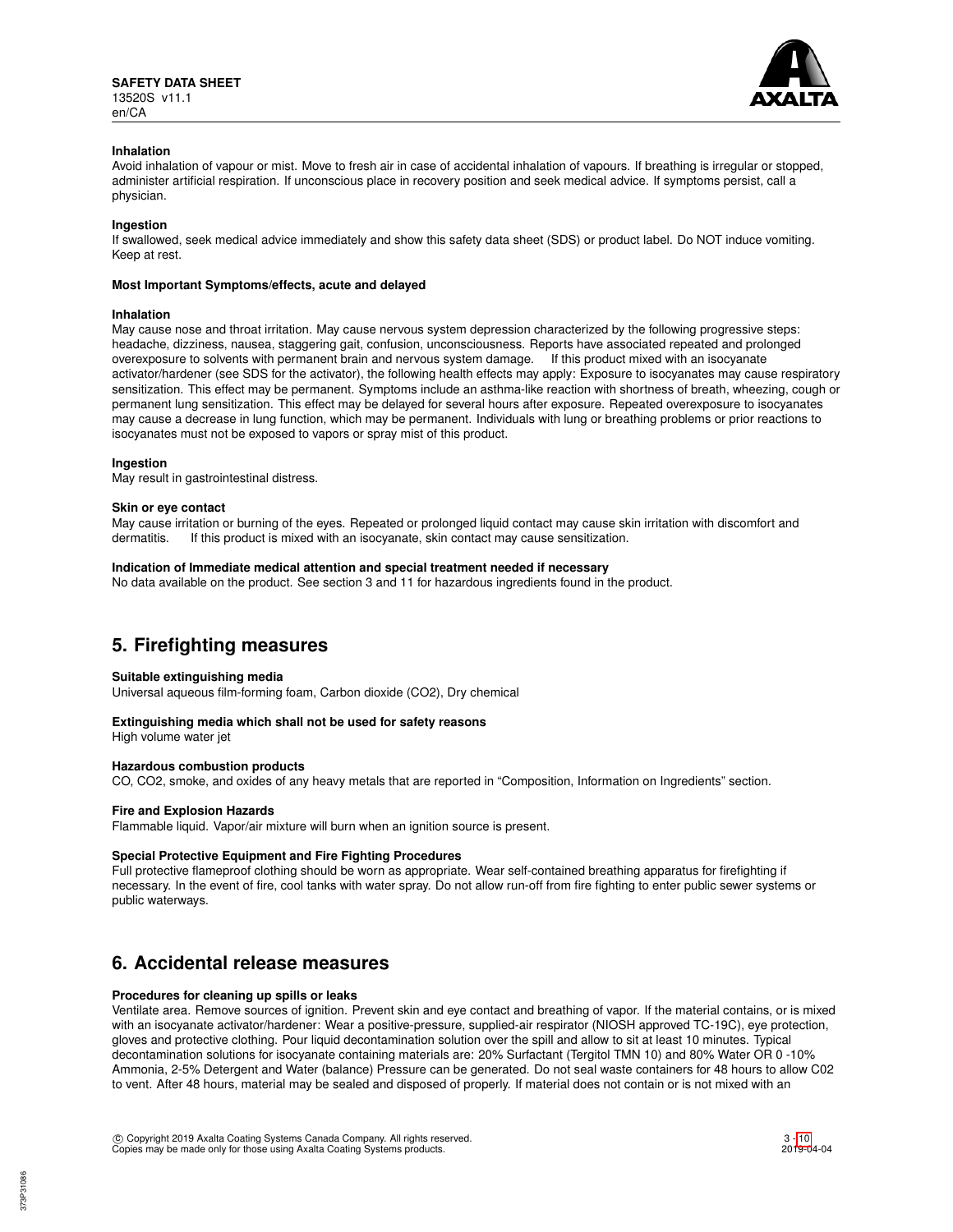

## **Inhalation**

Avoid inhalation of vapour or mist. Move to fresh air in case of accidental inhalation of vapours. If breathing is irregular or stopped, administer artificial respiration. If unconscious place in recovery position and seek medical advice. If symptoms persist, call a physician.

## **Ingestion**

If swallowed, seek medical advice immediately and show this safety data sheet (SDS) or product label. Do NOT induce vomiting. Keep at rest.

### **Most Important Symptoms/effects, acute and delayed**

### **Inhalation**

May cause nose and throat irritation. May cause nervous system depression characterized by the following progressive steps: headache, dizziness, nausea, staggering gait, confusion, unconsciousness. Reports have associated repeated and prolonged overexposure to solvents with permanent brain and nervous system damage. If this product mixed with an isocyanate activator/hardener (see SDS for the activator), the following health effects may apply: Exposure to isocyanates may cause respiratory sensitization. This effect may be permanent. Symptoms include an asthma-like reaction with shortness of breath, wheezing, cough or permanent lung sensitization. This effect may be delayed for several hours after exposure. Repeated overexposure to isocyanates may cause a decrease in lung function, which may be permanent. Individuals with lung or breathing problems or prior reactions to isocyanates must not be exposed to vapors or spray mist of this product.

#### **Ingestion**

May result in gastrointestinal distress.

#### **Skin or eye contact**

May cause irritation or burning of the eyes. Repeated or prolonged liquid contact may cause skin irritation with discomfort and dermatitis. If this product is mixed with an isocyanate, skin contact may cause sensitization.

### **Indication of Immediate medical attention and special treatment needed if necessary**

No data available on the product. See section 3 and 11 for hazardous ingredients found in the product.

## **5. Firefighting measures**

#### **Suitable extinguishing media**

Universal aqueous film-forming foam, Carbon dioxide (CO2), Dry chemical

## **Extinguishing media which shall not be used for safety reasons**

High volume water jet

## **Hazardous combustion products**

CO, CO2, smoke, and oxides of any heavy metals that are reported in "Composition, Information on Ingredients" section.

## **Fire and Explosion Hazards**

Flammable liquid. Vapor/air mixture will burn when an ignition source is present.

## **Special Protective Equipment and Fire Fighting Procedures**

Full protective flameproof clothing should be worn as appropriate. Wear self-contained breathing apparatus for firefighting if necessary. In the event of fire, cool tanks with water spray. Do not allow run-off from fire fighting to enter public sewer systems or public waterways.

## **6. Accidental release measures**

#### **Procedures for cleaning up spills or leaks**

Ventilate area. Remove sources of ignition. Prevent skin and eye contact and breathing of vapor. If the material contains, or is mixed with an isocyanate activator/hardener: Wear a positive-pressure, supplied-air respirator (NIOSH approved TC-19C), eye protection, gloves and protective clothing. Pour liquid decontamination solution over the spill and allow to sit at least 10 minutes. Typical decontamination solutions for isocyanate containing materials are: 20% Surfactant (Tergitol TMN 10) and 80% Water OR 0 -10% Ammonia, 2-5% Detergent and Water (balance) Pressure can be generated. Do not seal waste containers for 48 hours to allow C02 to vent. After 48 hours, material may be sealed and disposed of properly. If material does not contain or is not mixed with an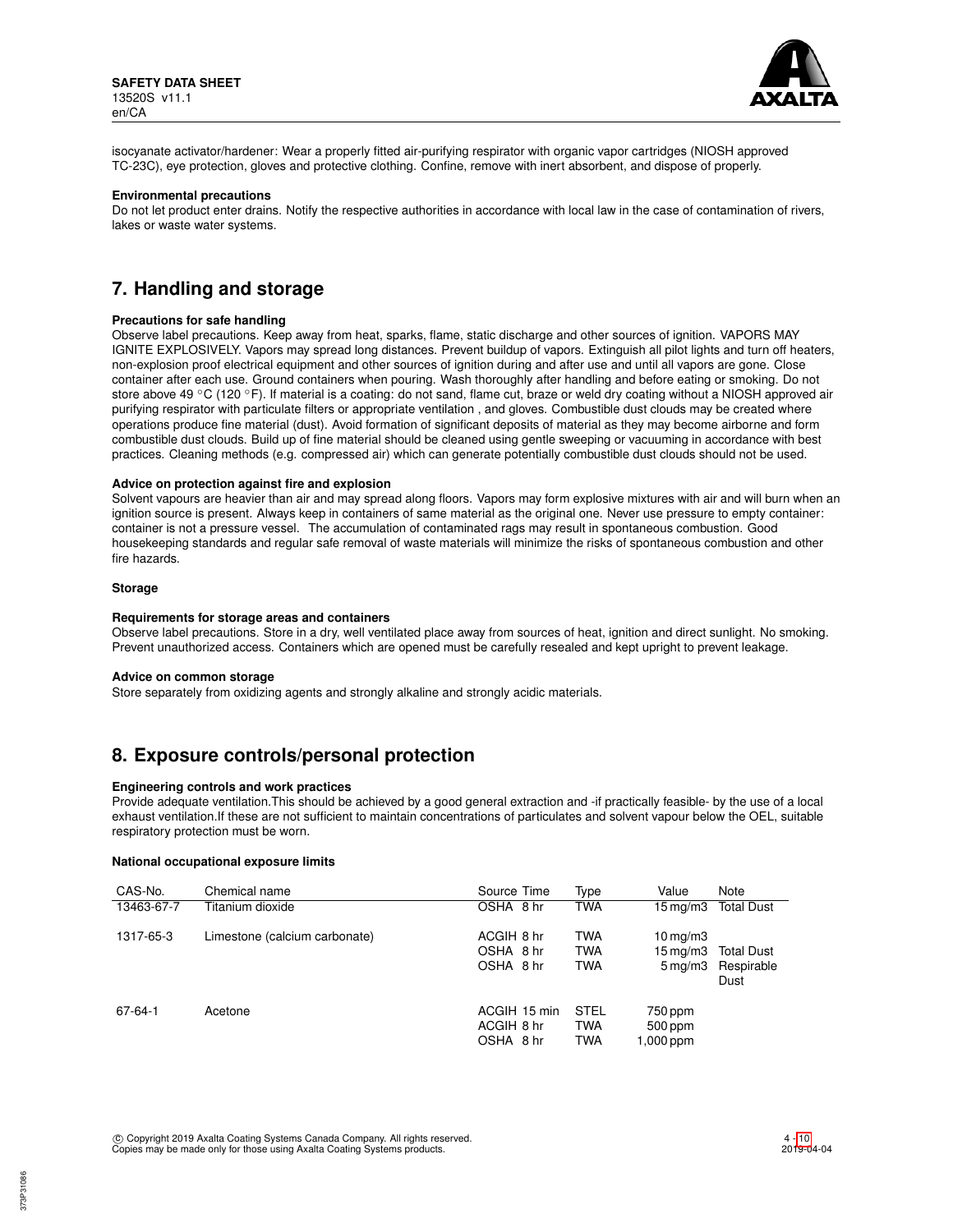

isocyanate activator/hardener: Wear a properly fitted air-purifying respirator with organic vapor cartridges (NIOSH approved TC-23C), eye protection, gloves and protective clothing. Confine, remove with inert absorbent, and dispose of properly.

### **Environmental precautions**

Do not let product enter drains. Notify the respective authorities in accordance with local law in the case of contamination of rivers, lakes or waste water systems.

## **7. Handling and storage**

#### **Precautions for safe handling**

Observe label precautions. Keep away from heat, sparks, flame, static discharge and other sources of ignition. VAPORS MAY IGNITE EXPLOSIVELY. Vapors may spread long distances. Prevent buildup of vapors. Extinguish all pilot lights and turn off heaters, non-explosion proof electrical equipment and other sources of ignition during and after use and until all vapors are gone. Close container after each use. Ground containers when pouring. Wash thoroughly after handling and before eating or smoking. Do not store above 49 °C (120 °F). If material is a coating: do not sand, flame cut, braze or weld dry coating without a NIOSH approved air purifying respirator with particulate filters or appropriate ventilation , and gloves. Combustible dust clouds may be created where operations produce fine material (dust). Avoid formation of significant deposits of material as they may become airborne and form combustible dust clouds. Build up of fine material should be cleaned using gentle sweeping or vacuuming in accordance with best practices. Cleaning methods (e.g. compressed air) which can generate potentially combustible dust clouds should not be used.

### **Advice on protection against fire and explosion**

Solvent vapours are heavier than air and may spread along floors. Vapors may form explosive mixtures with air and will burn when an ignition source is present. Always keep in containers of same material as the original one. Never use pressure to empty container: container is not a pressure vessel. The accumulation of contaminated rags may result in spontaneous combustion. Good housekeeping standards and regular safe removal of waste materials will minimize the risks of spontaneous combustion and other fire hazards.

### **Storage**

#### **Requirements for storage areas and containers**

Observe label precautions. Store in a dry, well ventilated place away from sources of heat, ignition and direct sunlight. No smoking. Prevent unauthorized access. Containers which are opened must be carefully resealed and kept upright to prevent leakage.

#### **Advice on common storage**

Store separately from oxidizing agents and strongly alkaline and strongly acidic materials.

## **8. Exposure controls/personal protection**

## **Engineering controls and work practices**

Provide adequate ventilation.This should be achieved by a good general extraction and -if practically feasible- by the use of a local exhaust ventilation.If these are not sufficient to maintain concentrations of particulates and solvent vapour below the OEL, suitable respiratory protection must be worn.

#### **National occupational exposure limits**

| CAS-No.    | Chemical name                 | Source Time  | Type        | Value                 | Note              |
|------------|-------------------------------|--------------|-------------|-----------------------|-------------------|
| 13463-67-7 | Titanium dioxide              | OSHA 8 hr    | <b>TWA</b>  | 15 mg/m3              | <b>Total Dust</b> |
| 1317-65-3  | Limestone (calcium carbonate) | ACGIH 8 hr   | <b>TWA</b>  | $10 \,\mathrm{mq/m}$  |                   |
|            |                               | OSHA 8 hr    | <b>TWA</b>  | $15 \,\mathrm{mq/m}$  | <b>Total Dust</b> |
|            |                               | OSHA 8 hr    | <b>TWA</b>  | $5 \,\mathrm{mq/m}$ 3 | Respirable        |
|            |                               |              |             |                       | Dust              |
| 67-64-1    | Acetone                       | ACGIH 15 min | <b>STEL</b> | 750 ppm               |                   |
|            |                               | ACGIH 8 hr   | <b>TWA</b>  | $500$ ppm             |                   |
|            |                               | OSHA 8 hr    | <b>TWA</b>  | 1,000 ppm             |                   |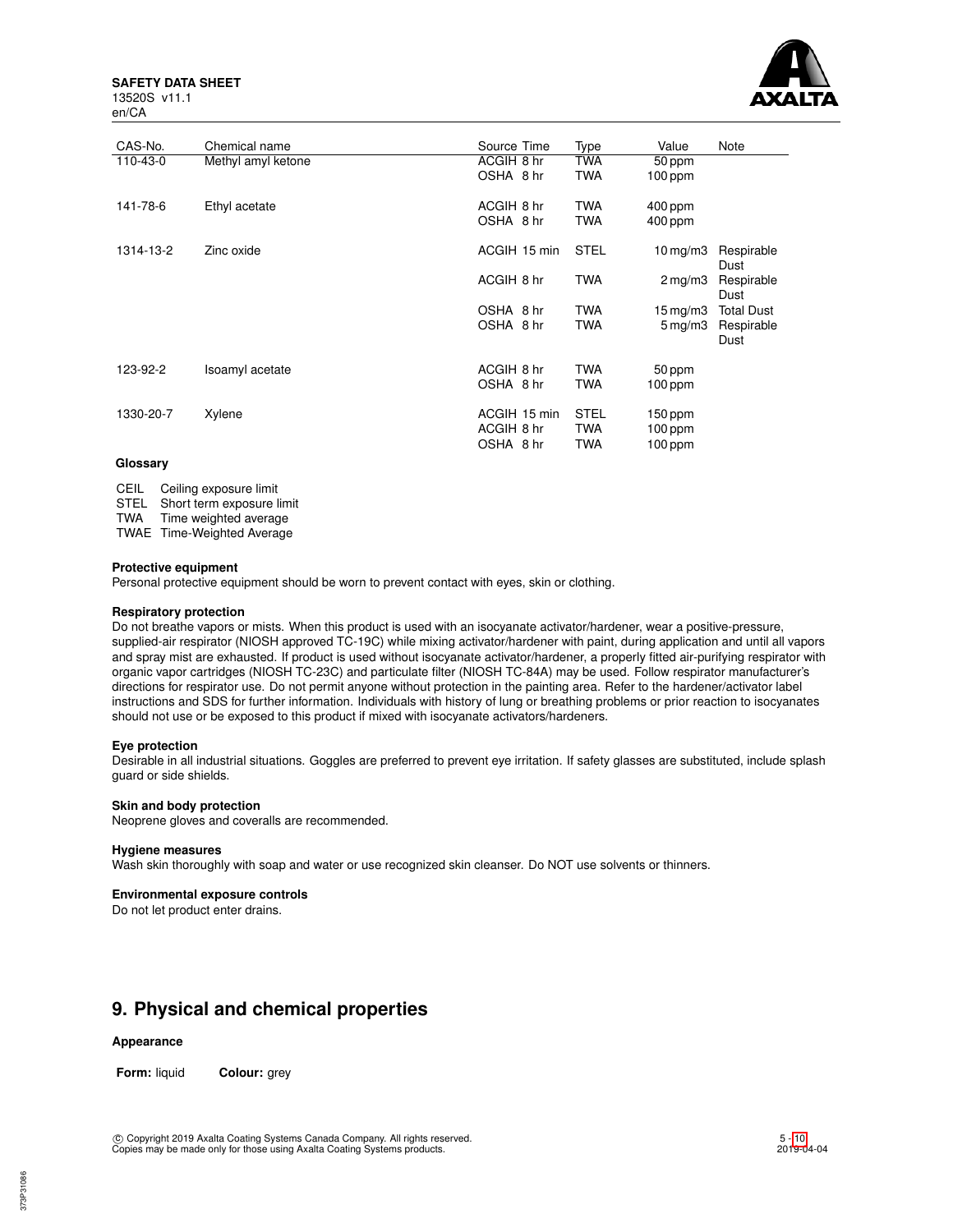**SAFETY DATA SHEET** 13520S v11.1

en/CA



| CAS-No.   | Chemical name      | Source Time                             | Type                             | Value                             | Note               |
|-----------|--------------------|-----------------------------------------|----------------------------------|-----------------------------------|--------------------|
| 110-43-0  | Methyl amyl ketone | ACGIH 8 hr                              | TWA                              | 50 ppm                            |                    |
|           |                    | OSHA 8 hr                               | <b>TWA</b>                       | $100$ ppm                         |                    |
| 141-78-6  | Ethyl acetate      | ACGIH 8 hr                              | TWA                              | $400$ ppm                         |                    |
|           |                    | OSHA 8 hr                               | <b>TWA</b>                       | $400$ ppm                         |                    |
| 1314-13-2 | Zinc oxide         | ACGIH 15 min                            | <b>STEL</b>                      | $10 \,\mathrm{mg/m}$              | Respirable<br>Dust |
|           |                    | ACGIH 8 hr                              | <b>TWA</b>                       | $2 \,\mathrm{mg/m}$               | Respirable<br>Dust |
|           |                    | OSHA 8 hr                               | TWA                              | $15 \,\mathrm{mg/m3}$             | <b>Total Dust</b>  |
|           |                    | OSHA 8 hr                               | <b>TWA</b>                       | $5 \,\mathrm{mg/m}$               | Respirable<br>Dust |
| 123-92-2  | Isoamyl acetate    | ACGIH 8 hr                              | TWA                              | 50 ppm                            |                    |
|           |                    | OSHA 8 hr                               | <b>TWA</b>                       | 100 ppm                           |                    |
| 1330-20-7 | Xylene             | ACGIH 15 min<br>ACGIH 8 hr<br>OSHA 8 hr | <b>STEL</b><br><b>TWA</b><br>TWA | 150 ppm<br>$100$ ppm<br>$100$ ppm |                    |

## **Glossary**

CEIL Ceiling exposure limit

STEL Short term exposure limit

TWA Time weighted average

TWAE Time-Weighted Average

## **Protective equipment**

Personal protective equipment should be worn to prevent contact with eyes, skin or clothing.

## **Respiratory protection**

Do not breathe vapors or mists. When this product is used with an isocyanate activator/hardener, wear a positive-pressure, supplied-air respirator (NIOSH approved TC-19C) while mixing activator/hardener with paint, during application and until all vapors and spray mist are exhausted. If product is used without isocyanate activator/hardener, a properly fitted air-purifying respirator with organic vapor cartridges (NIOSH TC-23C) and particulate filter (NIOSH TC-84A) may be used. Follow respirator manufacturer's directions for respirator use. Do not permit anyone without protection in the painting area. Refer to the hardener/activator label instructions and SDS for further information. Individuals with history of lung or breathing problems or prior reaction to isocyanates should not use or be exposed to this product if mixed with isocyanate activators/hardeners.

## **Eye protection**

Desirable in all industrial situations. Goggles are preferred to prevent eye irritation. If safety glasses are substituted, include splash guard or side shields.

## **Skin and body protection**

Neoprene gloves and coveralls are recommended.

#### **Hygiene measures**

Wash skin thoroughly with soap and water or use recognized skin cleanser. Do NOT use solvents or thinners.

### **Environmental exposure controls**

Do not let product enter drains.

## **9. Physical and chemical properties**

## **Appearance**

**Form:** liquid **Colour:** grey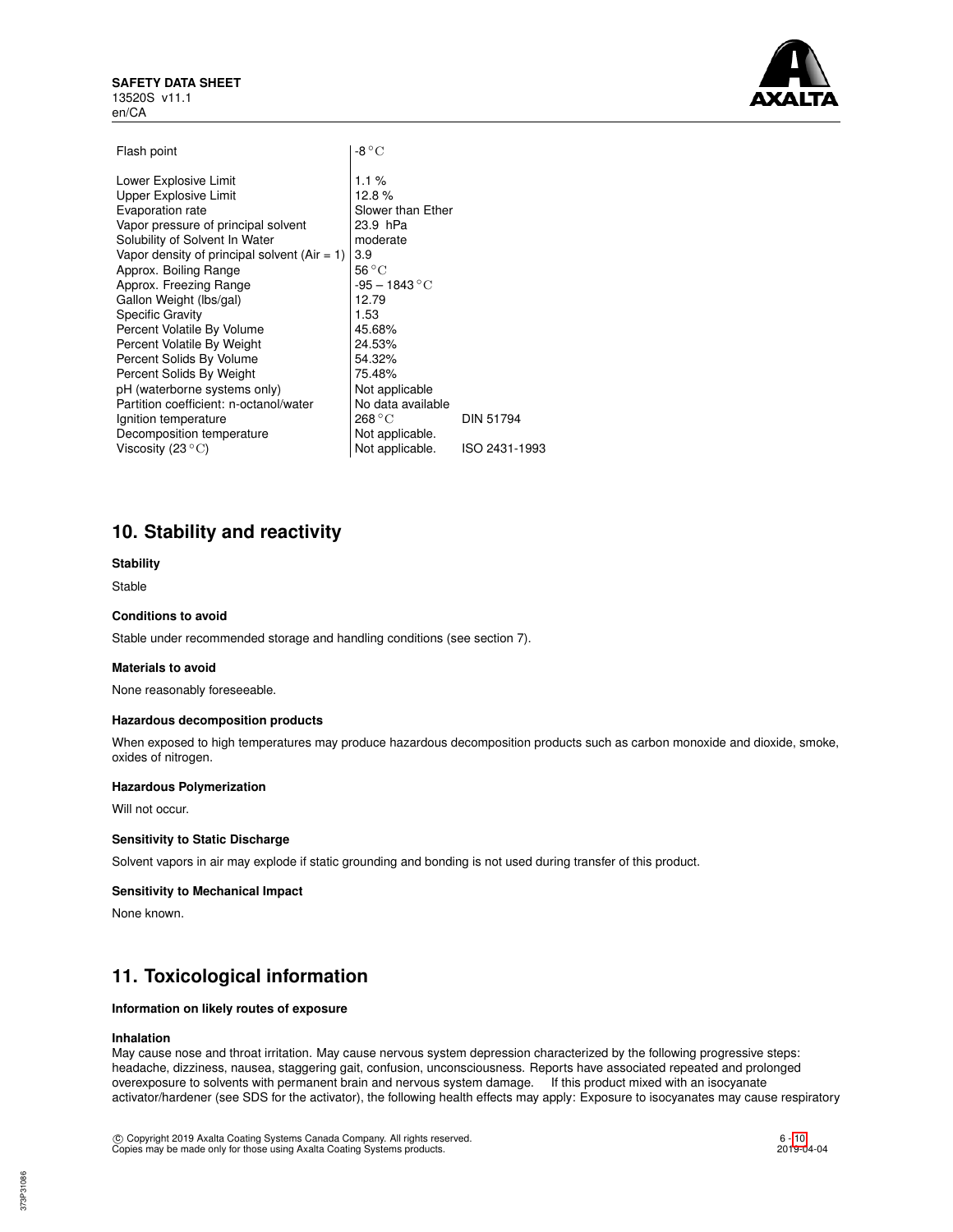

| 1.1%              |                  |
|-------------------|------------------|
| 12.8%             |                  |
| Slower than Ether |                  |
| 23.9 hPa          |                  |
| moderate          |                  |
| 3.9               |                  |
| $56^{\circ}$ C    |                  |
| $-95 - 1843$ °C   |                  |
| 12.79             |                  |
| 1.53              |                  |
| 45.68%            |                  |
| 24.53%            |                  |
| 54.32%            |                  |
| 75.48%            |                  |
| Not applicable    |                  |
| No data available |                  |
| 268 °C            | <b>DIN 51794</b> |
| Not applicable.   |                  |
| Not applicable.   | ISO 2431-1993    |
|                   |                  |

## **10. Stability and reactivity**

## **Stability**

## Stable

## **Conditions to avoid**

Stable under recommended storage and handling conditions (see section 7).

#### **Materials to avoid**

None reasonably foreseeable.

## **Hazardous decomposition products**

When exposed to high temperatures may produce hazardous decomposition products such as carbon monoxide and dioxide, smoke, oxides of nitrogen.

## **Hazardous Polymerization**

Will not occur.

## **Sensitivity to Static Discharge**

Solvent vapors in air may explode if static grounding and bonding is not used during transfer of this product.

## **Sensitivity to Mechanical Impact**

None known.

## **11. Toxicological information**

## **Information on likely routes of exposure**

#### **Inhalation**

May cause nose and throat irritation. May cause nervous system depression characterized by the following progressive steps: headache, dizziness, nausea, staggering gait, confusion, unconsciousness. Reports have associated repeated and prolonged overexposure to solvents with permanent brain and nervous system damage. If this product mixed with an isocyanate activator/hardener (see SDS for the activator), the following health effects may apply: Exposure to isocyanates may cause respiratory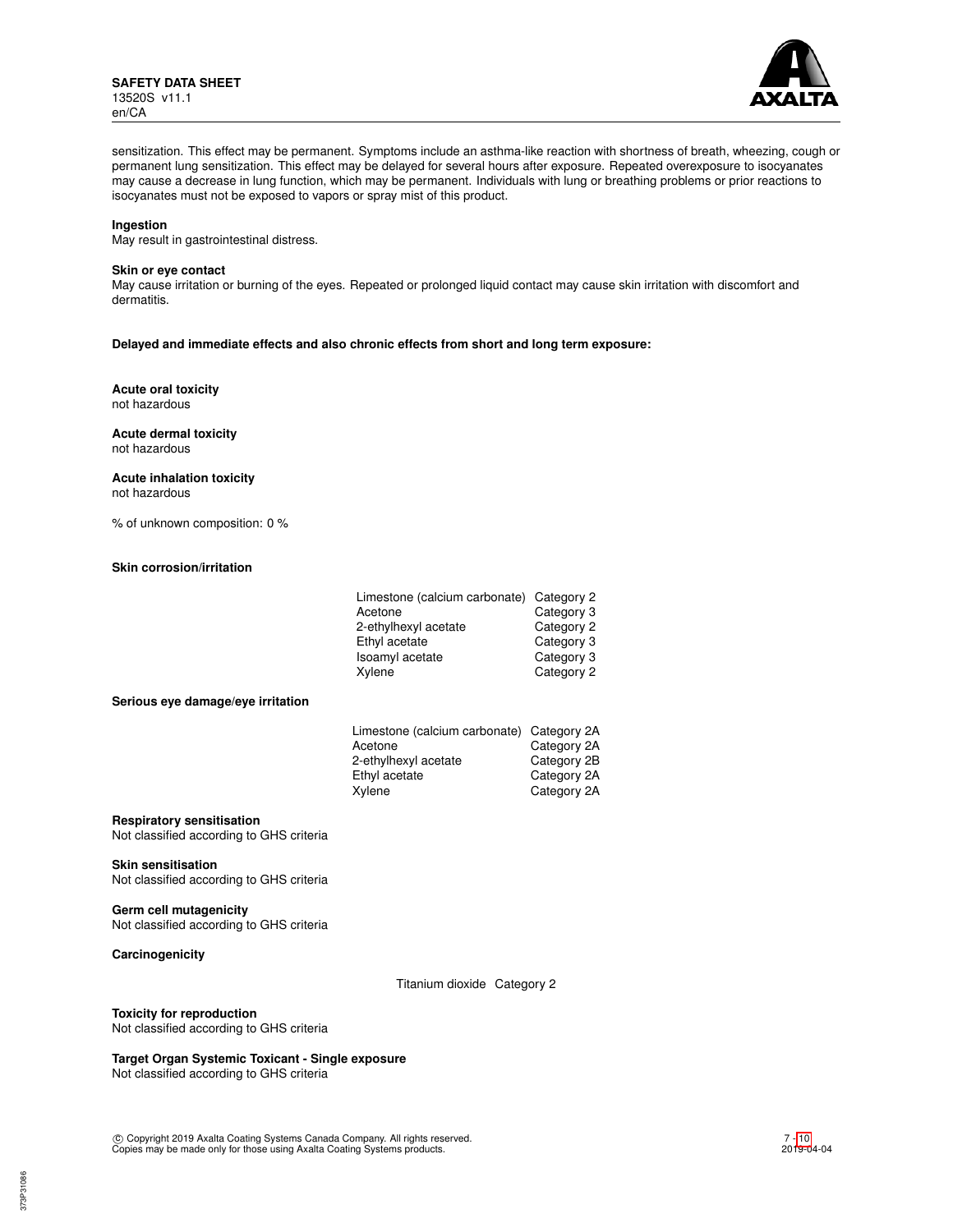

sensitization. This effect may be permanent. Symptoms include an asthma-like reaction with shortness of breath, wheezing, cough or permanent lung sensitization. This effect may be delayed for several hours after exposure. Repeated overexposure to isocyanates may cause a decrease in lung function, which may be permanent. Individuals with lung or breathing problems or prior reactions to isocyanates must not be exposed to vapors or spray mist of this product.

### **Ingestion**

May result in gastrointestinal distress.

#### **Skin or eye contact**

May cause irritation or burning of the eyes. Repeated or prolonged liquid contact may cause skin irritation with discomfort and dermatitis.

#### **Delayed and immediate effects and also chronic effects from short and long term exposure:**

#### **Acute oral toxicity** not hazardous

**Acute dermal toxicity** not hazardous

**Acute inhalation toxicity**

not hazardous

% of unknown composition: 0 %

## **Skin corrosion/irritation**

| Limestone (calcium carbonate) Category 2 |            |
|------------------------------------------|------------|
| Acetone                                  | Category 3 |
| 2-ethylhexyl acetate                     | Category 2 |
| Ethyl acetate                            | Category 3 |
| Isoamyl acetate                          | Category 3 |
| Xylene                                   | Category 2 |
|                                          |            |

## **Serious eye damage/eye irritation**

| Limestone (calcium carbonate) Category 2A |             |
|-------------------------------------------|-------------|
| Acetone                                   | Category 2A |
| 2-ethylhexyl acetate                      | Category 2B |
| Ethyl acetate                             | Category 2A |
| Xylene                                    | Category 2A |
|                                           |             |

## **Respiratory sensitisation**

Not classified according to GHS criteria

### **Skin sensitisation**

Not classified according to GHS criteria

#### **Germ cell mutagenicity**

Not classified according to GHS criteria

**Carcinogenicity**

Titanium dioxide Category 2

**Toxicity for reproduction** Not classified according to GHS criteria

**Target Organ Systemic Toxicant - Single exposure** Not classified according to GHS criteria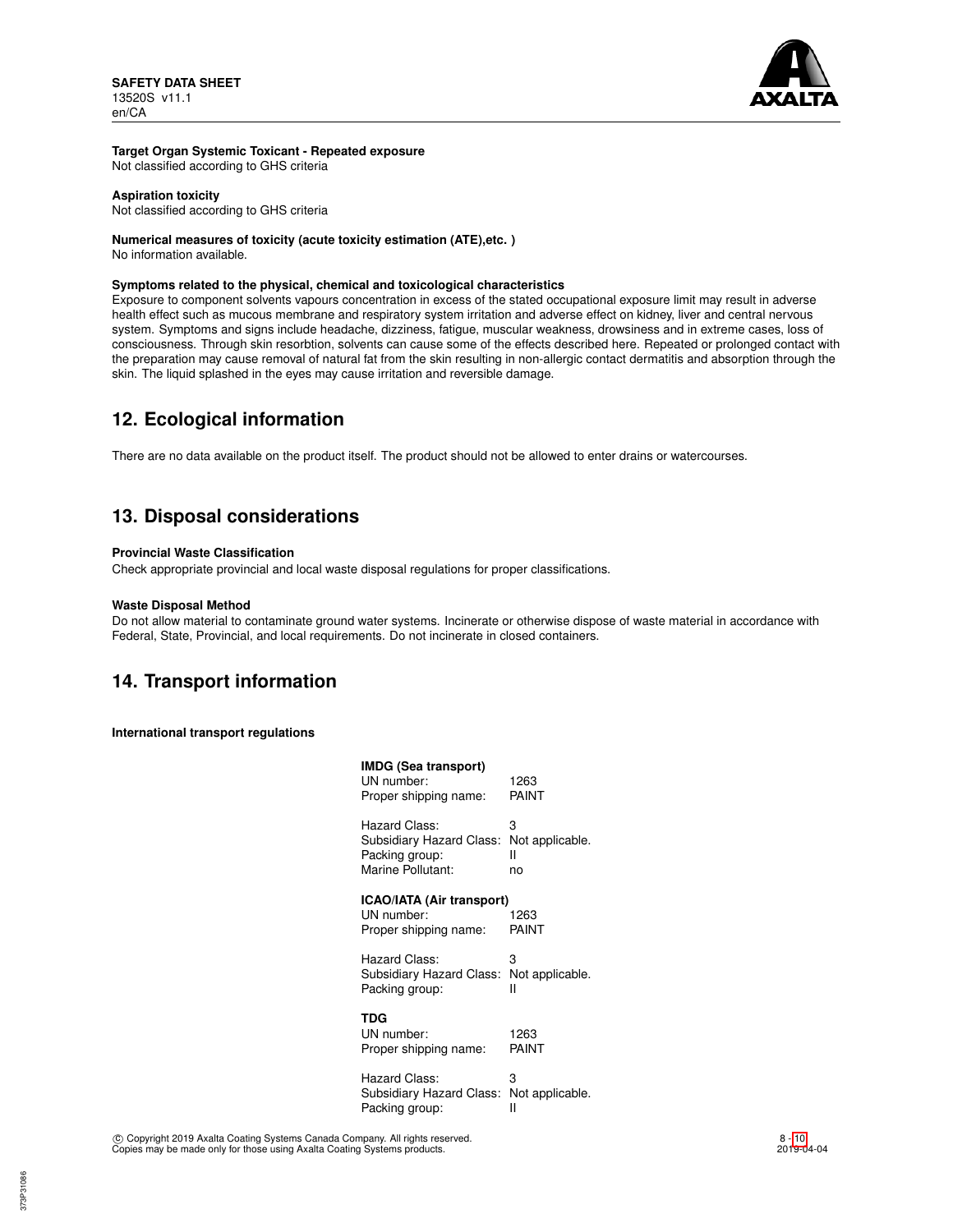

## **Target Organ Systemic Toxicant - Repeated exposure**

Not classified according to GHS criteria

## **Aspiration toxicity**

Not classified according to GHS criteria

## **Numerical measures of toxicity (acute toxicity estimation (ATE),etc. )**

No information available.

## **Symptoms related to the physical, chemical and toxicological characteristics**

Exposure to component solvents vapours concentration in excess of the stated occupational exposure limit may result in adverse health effect such as mucous membrane and respiratory system irritation and adverse effect on kidney, liver and central nervous system. Symptoms and signs include headache, dizziness, fatigue, muscular weakness, drowsiness and in extreme cases, loss of consciousness. Through skin resorbtion, solvents can cause some of the effects described here. Repeated or prolonged contact with the preparation may cause removal of natural fat from the skin resulting in non-allergic contact dermatitis and absorption through the skin. The liquid splashed in the eyes may cause irritation and reversible damage.

## **12. Ecological information**

There are no data available on the product itself. The product should not be allowed to enter drains or watercourses.

## **13. Disposal considerations**

## **Provincial Waste Classification**

Check appropriate provincial and local waste disposal regulations for proper classifications.

#### **Waste Disposal Method**

Do not allow material to contaminate ground water systems. Incinerate or otherwise dispose of waste material in accordance with Federal, State, Provincial, and local requirements. Do not incinerate in closed containers.

## **14. Transport information**

**International transport regulations**

| <b>IMDG (Sea transport)</b><br>UN number:<br>Proper shipping name:               | 1263<br>PAINT                   |
|----------------------------------------------------------------------------------|---------------------------------|
| Hazard Class:<br>Subsidiary Hazard Class:<br>Packing group:<br>Marine Pollutant: | 3<br>Not applicable.<br>н<br>no |
| ICAO/IATA (Air transport)<br>UN number:<br>Proper shipping name:                 | 1263<br>PAINT                   |
| Hazard Class:<br>Subsidiary Hazard Class:<br>Packing group:                      | 3<br>Not applicable.<br>н       |
| TDG<br>UN number:<br>Proper shipping name:                                       | 1263<br>PAINT                   |
| Hazard Class:<br>Subsidiary Hazard Class:<br>Packing group:                      | 3<br>Not applicable.<br>н       |
|                                                                                  |                                 |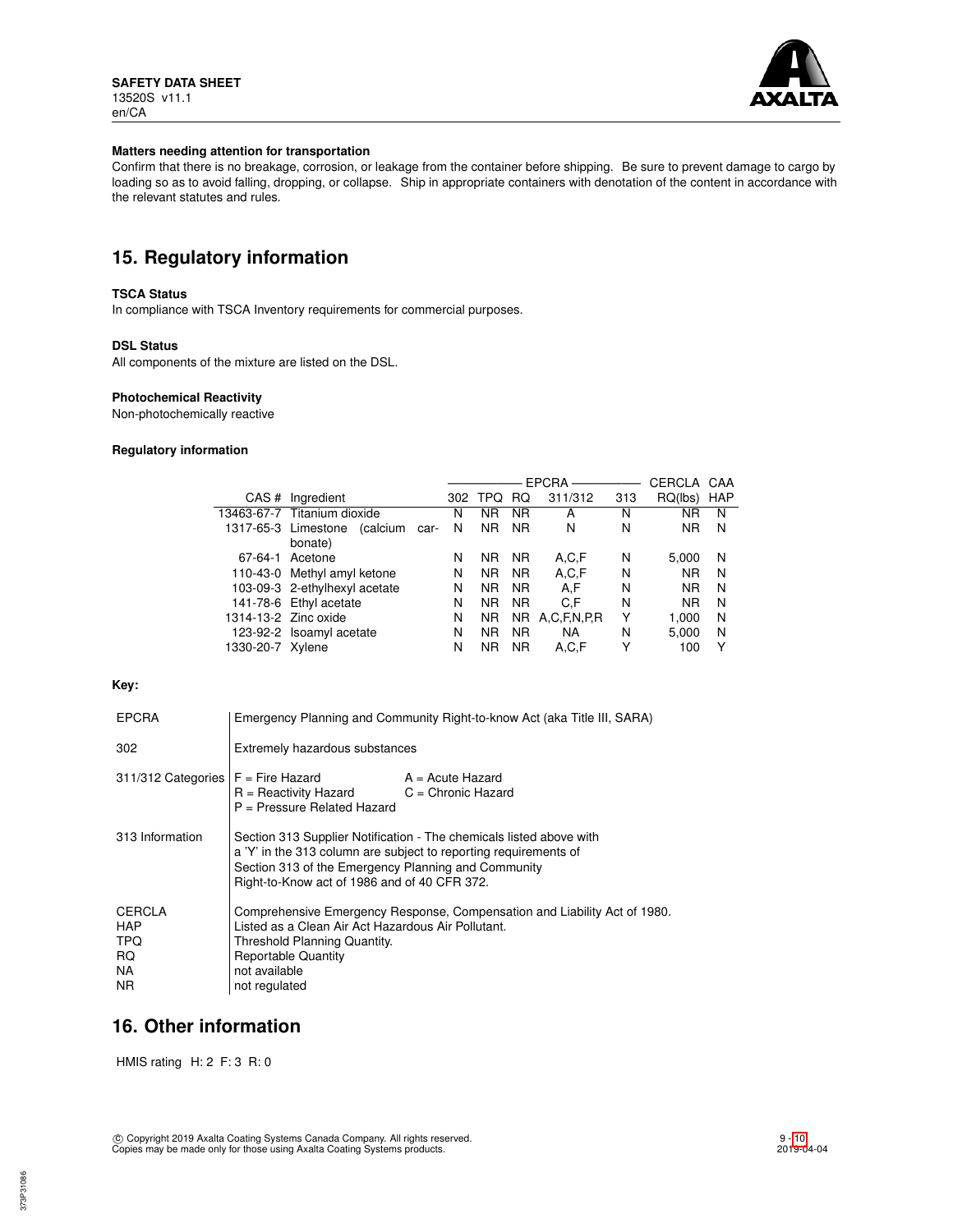

## **Matters needing attention for transportation**

Confirm that there is no breakage, corrosion, or leakage from the container before shipping. Be sure to prevent damage to cargo by loading so as to avoid falling, dropping, or collapse. Ship in appropriate containers with denotation of the content in accordance with the relevant statutes and rules.

# **15. Regulatory information**

## **TSCA Status**

In compliance with TSCA Inventory requirements for commercial purposes.

## **DSL Status**

All components of the mixture are listed on the DSL.

#### **Photochemical Reactivity**

Non-photochemically reactive

## **Regulatory information**

|                  |                                 |      |     |            |           | <b>EPCRA</b>     |     | CERCLA  | CAA        |
|------------------|---------------------------------|------|-----|------------|-----------|------------------|-----|---------|------------|
|                  | CAS # Ingredient                |      | 302 | <b>TPQ</b> | RQ.       | 311/312          | 313 | RQ(lbs) | <b>HAP</b> |
|                  | 13463-67-7 Titanium dioxide     |      | N   | ΝR         | <b>NR</b> | А                | N   | ΝR      | N          |
|                  | 1317-65-3 Limestone<br>(calcium | car- | N   | <b>NR</b>  | <b>NR</b> | N                | N   | ΝR      | N          |
|                  | bonate)                         |      |     |            |           |                  |     |         |            |
| 67-64-1          | Acetone                         |      | N   | NR.        | <b>NR</b> | A.C.F            | N   | 5.000   | N          |
|                  | 110-43-0 Methyl amyl ketone     |      | N   | <b>NR</b>  | <b>NR</b> | A,C,F            | N   | ΝR      | N          |
|                  | 103-09-3 2-ethylhexyl acetate   |      | N   | <b>NR</b>  | <b>NR</b> | A.F              | N   | ΝR      | N          |
|                  | 141-78-6 Ethyl acetate          |      | N   | <b>NR</b>  | <b>NR</b> | C.F              | N   | ΝR      | N          |
|                  | 1314-13-2 Zinc oxide            |      | N   | <b>NR</b>  | NR.       | A, C, F, N, P, R | Y   | 1,000   | N          |
|                  | 123-92-2 Isoamyl acetate        |      | N   | <b>NR</b>  | <b>NR</b> | NA               | N   | 5.000   | N          |
| 1330-20-7 Xylene |                                 |      | N   | <b>NR</b>  | <b>NR</b> | A.C.F            | Υ   | 100     | Υ          |

## **Key:**

| <b>EPCRA</b>                                     | Emergency Planning and Community Right-to-know Act (aka Title III, SARA)                                                                                                                                                                       |                                            |  |
|--------------------------------------------------|------------------------------------------------------------------------------------------------------------------------------------------------------------------------------------------------------------------------------------------------|--------------------------------------------|--|
| 302                                              | Extremely hazardous substances                                                                                                                                                                                                                 |                                            |  |
| $311/312$ Categories $F =$ Fire Hazard           | $R =$ Reactivity Hazard<br>$P =$ Pressure Related Hazard                                                                                                                                                                                       | $A = Acute$ Hazard<br>$C =$ Chronic Hazard |  |
| 313 Information                                  | Section 313 Supplier Notification - The chemicals listed above with<br>a 'Y' in the 313 column are subject to reporting requirements of<br>Section 313 of the Emergency Planning and Community<br>Right-to-Know act of 1986 and of 40 CFR 372. |                                            |  |
| CERCLA<br><b>HAP</b><br>TPQ<br>RQ.<br>NA.<br>NR. | Comprehensive Emergency Response, Compensation and Liability Act of 1980.<br>Listed as a Clean Air Act Hazardous Air Pollutant.<br>Threshold Planning Quantity.<br><b>Reportable Quantity</b><br>not available<br>not regulated                |                                            |  |

## **16. Other information**

HMIS rating H: 2 F: 3 R: 0